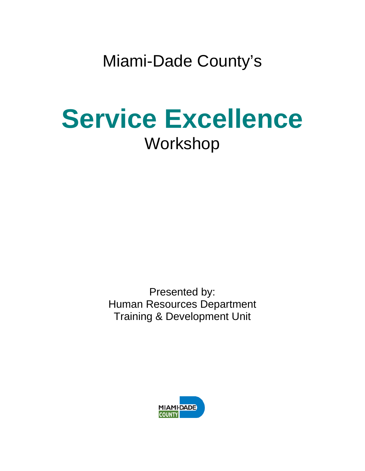Miami-Dade County's

# **Service Excellence** Workshop

Presented by: Human Resources Department Training & Development Unit

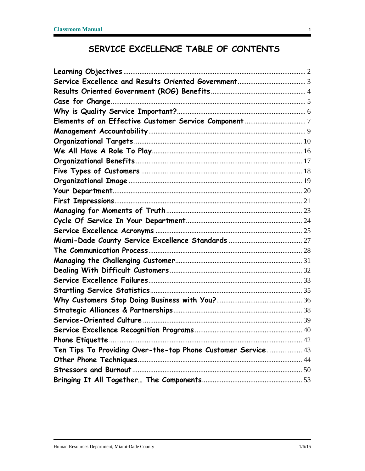### SERVICE EXCELLENCE TABLE OF CONTENTS

| Ten Tips To Providing Over-the-top Phone Customer Service 43 |  |
|--------------------------------------------------------------|--|
|                                                              |  |
|                                                              |  |
|                                                              |  |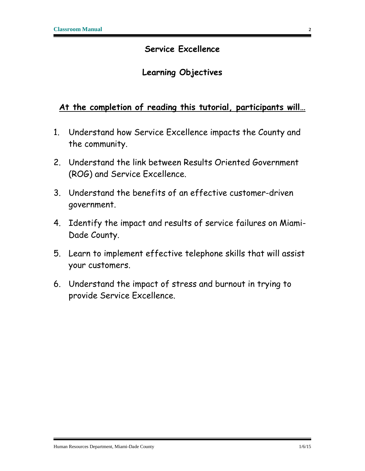#### **Service Excellence**

#### **Learning Objectives**

#### <span id="page-2-0"></span>**At the completion of reading this tutorial, participants will…**

- 1. Understand how Service Excellence impacts the County and the community.
- 2. Understand the link between Results Oriented Government (ROG) and Service Excellence.
- 3. Understand the benefits of an effective customer-driven government.
- 4. Identify the impact and results of service failures on Miami-Dade County.
- 5. Learn to implement effective telephone skills that will assist your customers.
- 6. Understand the impact of stress and burnout in trying to provide Service Excellence.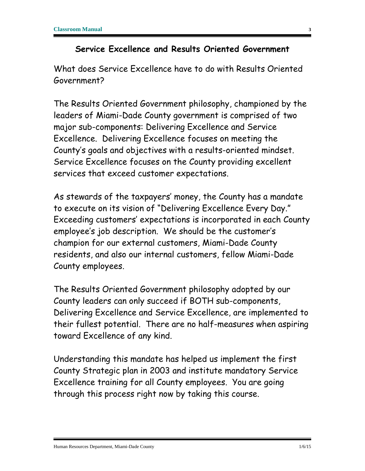#### **Service Excellence and Results Oriented Government**

<span id="page-3-0"></span>What does Service Excellence have to do with Results Oriented Government?

The Results Oriented Government philosophy, championed by the leaders of Miami-Dade County government is comprised of two major sub-components: Delivering Excellence and Service Excellence. Delivering Excellence focuses on meeting the County's goals and objectives with a results-oriented mindset. Service Excellence focuses on the County providing excellent services that exceed customer expectations.

As stewards of the taxpayers' money, the County has a mandate to execute on its vision of "Delivering Excellence Every Day." Exceeding customers' expectations is incorporated in each County employee's job description. We should be the customer's champion for our external customers, Miami-Dade County residents, and also our internal customers, fellow Miami-Dade County employees.

The Results Oriented Government philosophy adopted by our County leaders can only succeed if BOTH sub-components, Delivering Excellence and Service Excellence, are implemented to their fullest potential. There are no half-measures when aspiring toward Excellence of any kind.

Understanding this mandate has helped us implement the first County Strategic plan in 2003 and institute mandatory Service Excellence training for all County employees. You are going through this process right now by taking this course.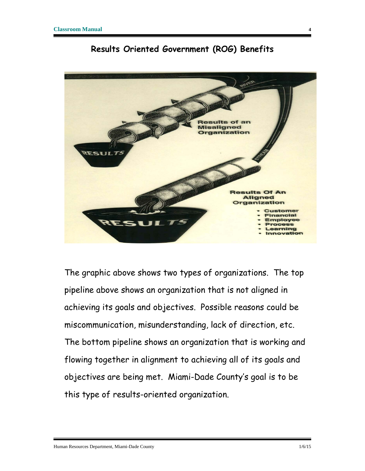<span id="page-4-0"></span>

#### **Results Oriented Government (ROG) Benefits**

The graphic above shows two types of organizations. The top pipeline above shows an organization that is not aligned in achieving its goals and objectives. Possible reasons could be miscommunication, misunderstanding, lack of direction, etc. The bottom pipeline shows an organization that is working and flowing together in alignment to achieving all of its goals and objectives are being met. Miami-Dade County's goal is to be this type of results-oriented organization.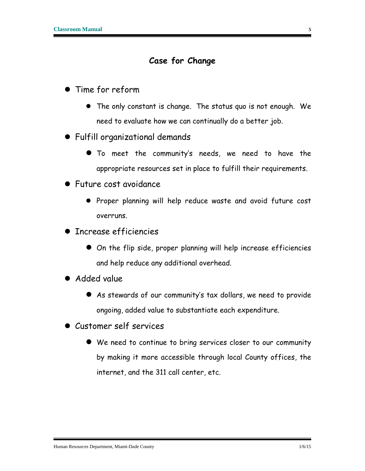#### **Case for Change**

- <span id="page-5-0"></span> Time for reform
	- The only constant is change. The status quo is not enough. We need to evaluate how we can continually do a better job.
- Fulfill organizational demands
	- To meet the community's needs, we need to have the appropriate resources set in place to fulfill their requirements.
- Future cost avoidance
	- Proper planning will help reduce waste and avoid future cost overruns.
- Increase efficiencies
	- On the flip side, proper planning will help increase efficiencies and help reduce any additional overhead.
- **•** Added value
	- As stewards of our community's tax dollars, we need to provide ongoing, added value to substantiate each expenditure.
- Customer self services
	- We need to continue to bring services closer to our community by making it more accessible through local County offices, the internet, and the 311 call center, etc.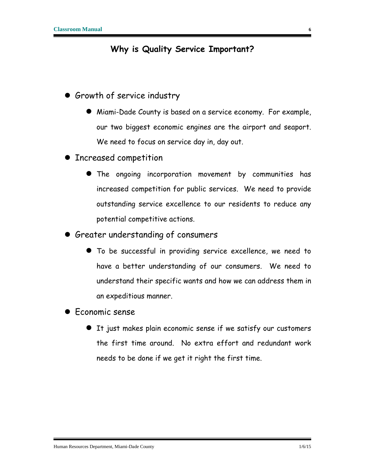#### **Why is Quality Service Important?**

- <span id="page-6-0"></span>**Growth of service industry** 
	- Miami-Dade County is based on a service economy. For example, our two biggest economic engines are the airport and seaport. We need to focus on service day in, day out.
- **Increased competition** 
	- The ongoing incorporation movement by communities has increased competition for public services. We need to provide outstanding service excellence to our residents to reduce any potential competitive actions.
- Greater understanding of consumers
	- To be successful in providing service excellence, we need to have a better understanding of our consumers. We need to understand their specific wants and how we can address them in an expeditious manner.
- **•** Economic sense
	- It just makes plain economic sense if we satisfy our customers the first time around. No extra effort and redundant work needs to be done if we get it right the first time.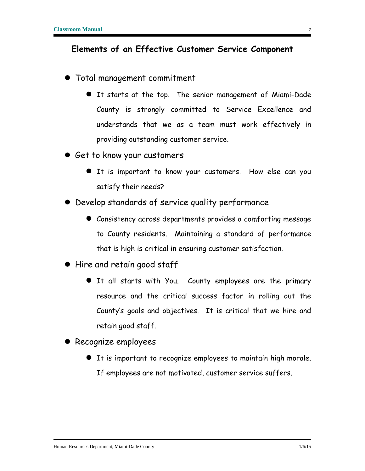#### <span id="page-7-0"></span>**Elements of an Effective Customer Service Component**

- Total management commitment
	- It starts at the top. The senior management of Miami-Dade County is strongly committed to Service Excellence and understands that we as a team must work effectively in providing outstanding customer service.
- Get to know your customers
	- It is important to know your customers. How else can you satisfy their needs?
- Develop standards of service quality performance
	- Consistency across departments provides a comforting message to County residents. Maintaining a standard of performance that is high is critical in ensuring customer satisfaction.
- Hire and retain good staff
	- It all starts with You. County employees are the primary resource and the critical success factor in rolling out the County's goals and objectives. It is critical that we hire and retain good staff.
- Recognize employees
	- It is important to recognize employees to maintain high morale. If employees are not motivated, customer service suffers.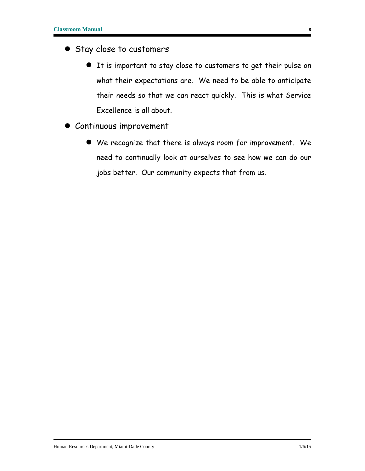- Stay close to customers
	- It is important to stay close to customers to get their pulse on what their expectations are. We need to be able to anticipate their needs so that we can react quickly. This is what Service Excellence is all about.
- Continuous improvement
	- We recognize that there is always room for improvement. We need to continually look at ourselves to see how we can do our jobs better. Our community expects that from us.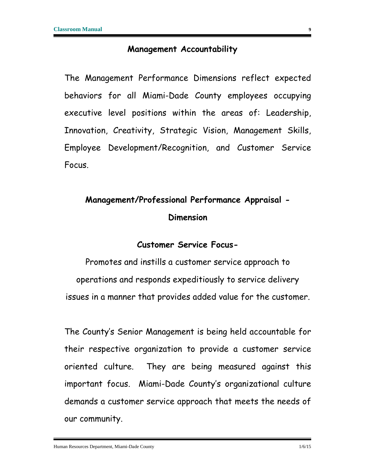#### **Management Accountability**

<span id="page-9-0"></span>The Management Performance Dimensions reflect expected behaviors for all Miami-Dade County employees occupying executive level positions within the areas of: Leadership, Innovation, Creativity, Strategic Vision, Management Skills, Employee Development/Recognition, and Customer Service Focus.

### **Management/Professional Performance Appraisal - Dimension**

#### **Customer Service Focus-**

Promotes and instills a customer service approach to operations and responds expeditiously to service delivery issues in a manner that provides added value for the customer.

The County's Senior Management is being held accountable for their respective organization to provide a customer service oriented culture. They are being measured against this important focus. Miami-Dade County's organizational culture demands a customer service approach that meets the needs of our community.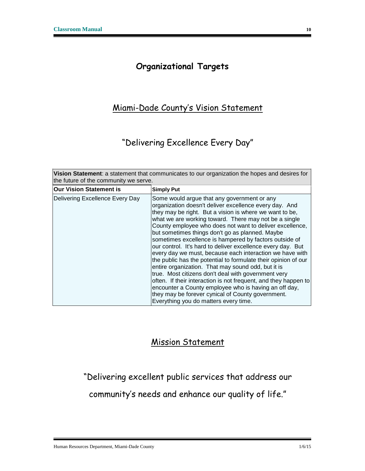#### **Organizational Targets**

#### <span id="page-10-0"></span>Miami-Dade County's Vision Statement

#### "Delivering Excellence Every Day"

| Vision Statement: a statement that communicates to our organization the hopes and desires for<br>the future of the community we serve. |                                                                                                                                                                                                                                                                                                                                                                                                                                                                                                                                                                                                                                                                                                                                                                                                                                                                                                                                        |  |  |
|----------------------------------------------------------------------------------------------------------------------------------------|----------------------------------------------------------------------------------------------------------------------------------------------------------------------------------------------------------------------------------------------------------------------------------------------------------------------------------------------------------------------------------------------------------------------------------------------------------------------------------------------------------------------------------------------------------------------------------------------------------------------------------------------------------------------------------------------------------------------------------------------------------------------------------------------------------------------------------------------------------------------------------------------------------------------------------------|--|--|
| <b>Our Vision Statement is</b>                                                                                                         | <b>Simply Put</b>                                                                                                                                                                                                                                                                                                                                                                                                                                                                                                                                                                                                                                                                                                                                                                                                                                                                                                                      |  |  |
| Delivering Excellence Every Day                                                                                                        | Some would argue that any government or any<br>organization doesn't deliver excellence every day. And<br>they may be right. But a vision is where we want to be,<br>what we are working toward. There may not be a single<br>County employee who does not want to deliver excellence,<br>but sometimes things don't go as planned. Maybe<br>sometimes excellence is hampered by factors outside of<br>our control. It's hard to deliver excellence every day. But<br>every day we must, because each interaction we have with<br>the public has the potential to formulate their opinion of our<br>entire organization. That may sound odd, but it is<br>true. Most citizens don't deal with government very<br>often. If their interaction is not frequent, and they happen to<br>encounter a County employee who is having an off day,<br>they may be forever cynical of County government.<br>Everything you do matters every time. |  |  |

#### Mission Statement

"Delivering excellent public services that address our

community's needs and enhance our quality of life."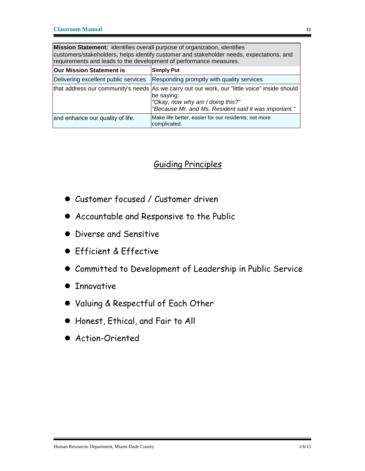**Mission Statement:** identifies overall purpose of organization, identifies customers/stakeholders, helps identify customer and stakeholder needs, expectations, and requirements and leads to the development of performance measures.

| Our Mission Statement is             | <b>Simply Put</b>                                                                                                                                                                                        |
|--------------------------------------|----------------------------------------------------------------------------------------------------------------------------------------------------------------------------------------------------------|
| Delivering excellent public services | Responding promptly with quality services                                                                                                                                                                |
|                                      | that address our community's needs As we carry out our work, our "little voice" inside should<br>be saying:<br>"Okay, now why am I doing this?"<br>"Because Mr. and Ms. Resident said it was important." |
| and enhance our quality of life.     | Make life better, easier for our residents; not more<br>complicated.                                                                                                                                     |

#### Guiding Principles

- Customer focused / Customer driven
- Accountable and Responsive to the Public
- **•** Diverse and Sensitive
- **•** Efficient & Effective
- Committed to Development of Leadership in Public Service
- **•** Innovative
- Valuing & Respectful of Each Other
- Honest, Ethical, and Fair to All
- Action-Oriented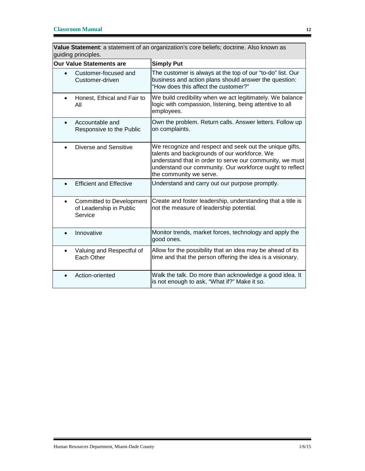**Value Statement**: a statement of an organization's core beliefs; doctrine. Also known as guiding principles.

| <b>Our Value Statements are</b>                                                    | <b>Simply Put</b>                                                                                                                                                                                                                                          |  |
|------------------------------------------------------------------------------------|------------------------------------------------------------------------------------------------------------------------------------------------------------------------------------------------------------------------------------------------------------|--|
| Customer-focused and<br>Customer-driven                                            | The customer is always at the top of our "to-do" list. Our<br>business and action plans should answer the question:<br>"How does this affect the customer?"                                                                                                |  |
| Honest, Ethical and Fair to<br>$\bullet$<br>All                                    | We build credibility when we act legitimately. We balance<br>logic with compassion, listening, being attentive to all<br>employees.                                                                                                                        |  |
| Accountable and<br>Responsive to the Public                                        | Own the problem. Return calls. Answer letters. Follow up<br>on complaints.                                                                                                                                                                                 |  |
| Diverse and Sensitive                                                              | We recognize and respect and seek out the unique gifts,<br>talents and backgrounds of our workforce. We<br>understand that in order to serve our community, we must<br>understand our community. Our workforce ought to reflect<br>the community we serve. |  |
| <b>Efficient and Effective</b>                                                     | Understand and carry out our purpose promptly.                                                                                                                                                                                                             |  |
| <b>Committed to Development</b><br>$\bullet$<br>of Leadership in Public<br>Service | Create and foster leadership, understanding that a title is<br>not the measure of leadership potential.                                                                                                                                                    |  |
| Innovative                                                                         | Monitor trends, market forces, technology and apply the<br>good ones.                                                                                                                                                                                      |  |
| Valuing and Respectful of<br>$\bullet$<br>Each Other                               | Allow for the possibility that an idea may be ahead of its<br>time and that the person offering the idea is a visionary.                                                                                                                                   |  |
| Action-oriented                                                                    | Walk the talk. Do more than acknowledge a good idea. It<br>is not enough to ask, "What if?" Make it so.                                                                                                                                                    |  |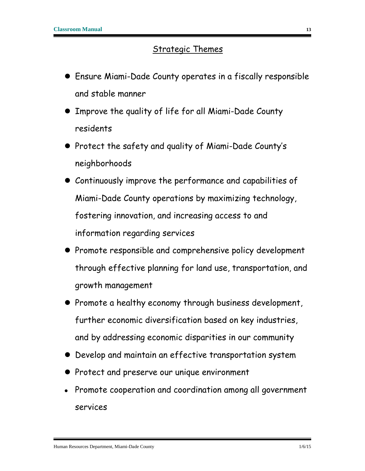#### Strategic Themes

- Ensure Miami-Dade County operates in a fiscally responsible and stable manner
- Improve the quality of life for all Miami-Dade County residents
- Protect the safety and quality of Miami-Dade County's neighborhoods
- Continuously improve the performance and capabilities of Miami-Dade County operations by maximizing technology, fostering innovation, and increasing access to and information regarding services
- Promote responsible and comprehensive policy development through effective planning for land use, transportation, and growth management
- Promote a healthy economy through business development, further economic diversification based on key industries, and by addressing economic disparities in our community
- Develop and maintain an effective transportation system
- Protect and preserve our unique environment
- Promote cooperation and coordination among all government services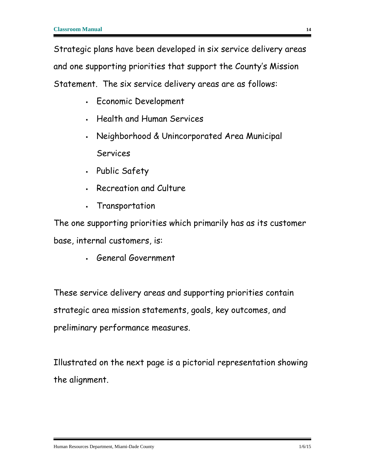Strategic plans have been developed in six service delivery areas and one supporting priorities that support the County's Mission Statement. The six service delivery areas are as follows:

- Economic Development
- Health and Human Services
- Neighborhood & Unincorporated Area Municipal Services
- Public Safety
- Recreation and Culture
- Transportation

The one supporting priorities which primarily has as its customer base, internal customers, is:

General Government

These service delivery areas and supporting priorities contain strategic area mission statements, goals, key outcomes, and preliminary performance measures.

Illustrated on the next page is a pictorial representation showing the alignment.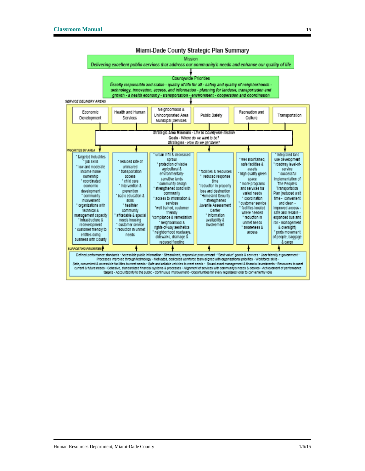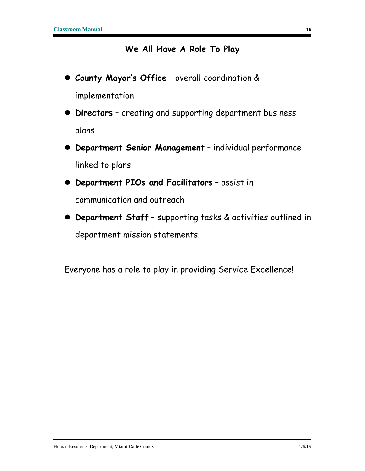#### **We All Have A Role To Play**

- <span id="page-16-0"></span> **County Mayor's Office** – overall coordination & implementation
- **Directors** creating and supporting department business plans
- **Department Senior Management** individual performance linked to plans
- **Department PIOs and Facilitators** assist in communication and outreach
- **Department Staff** supporting tasks & activities outlined in department mission statements.

Everyone has a role to play in providing Service Excellence!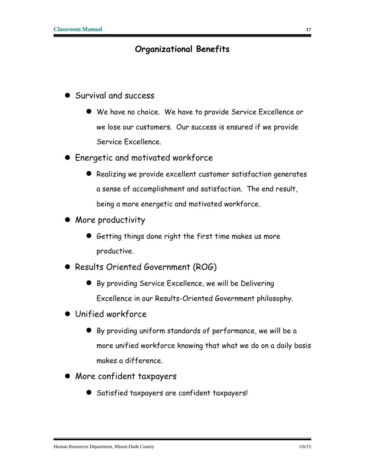#### **Organizational Benefits**

- <span id="page-17-0"></span>**Survival and success** 
	- We have no choice. We have to provide Service Excellence or we lose our customers. Our success is ensured if we provide Service Excellence.
- **Energetic and motivated workforce** 
	- Realizing we provide excellent customer satisfaction generates a sense of accomplishment and satisfaction. The end result, being a more energetic and motivated workforce.
- More productivity
	- Getting things done right the first time makes us more productive.
- Results Oriented Government (ROG)
	- By providing Service Excellence, we will be Delivering Excellence in our Results-Oriented Government philosophy.
- Unified workforce
	- By providing uniform standards of performance, we will be a more unified workforce knowing that what we do on a daily basis makes a difference.
- More confident taxpayers
	- Satisfied taxpayers are confident taxpayers!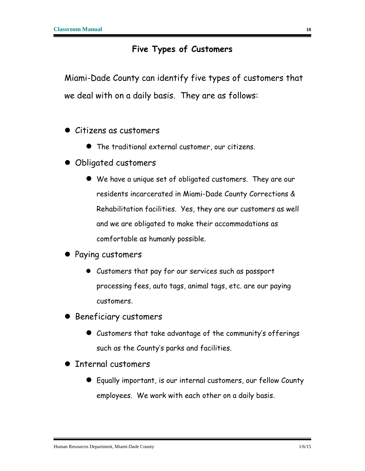#### **Five Types of Customers**

<span id="page-18-0"></span>Miami-Dade County can identify five types of customers that we deal with on a daily basis. They are as follows:

- Citizens as customers
	- The traditional external customer, our citizens.
- Obligated customers
	- We have a unique set of obligated customers. They are our residents incarcerated in Miami-Dade County Corrections & Rehabilitation facilities. Yes, they are our customers as well and we are obligated to make their accommodations as comfortable as humanly possible.
- Paying customers
	- Customers that pay for our services such as passport processing fees, auto tags, animal tags, etc. are our paying customers.
- Beneficiary customers
	- Customers that take advantage of the community's offerings such as the County's parks and facilities.
- **Internal customers** 
	- Equally important, is our internal customers, our fellow County employees. We work with each other on a daily basis.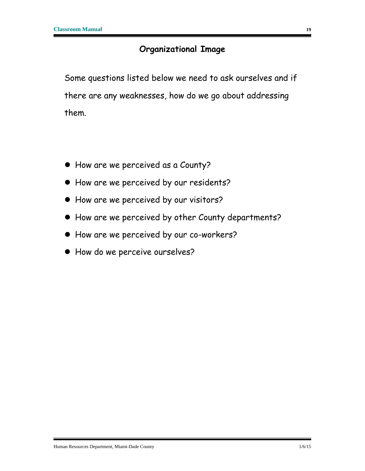#### **Organizational Image**

<span id="page-19-0"></span>Some questions listed below we need to ask ourselves and if there are any weaknesses, how do we go about addressing them.

- How are we perceived as a County?
- How are we perceived by our residents?
- How are we perceived by our visitors?
- How are we perceived by other County departments?
- How are we perceived by our co-workers?
- How do we perceive ourselves?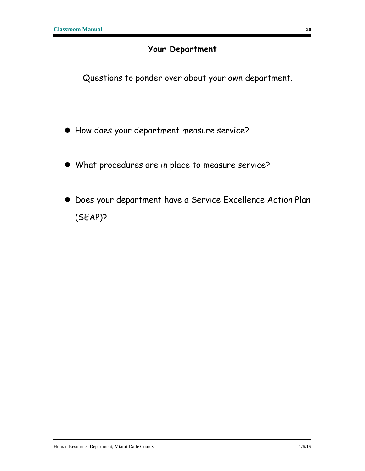#### **Your Department**

<span id="page-20-0"></span>Questions to ponder over about your own department.

- How does your department measure service?
- What procedures are in place to measure service?
- Does your department have a Service Excellence Action Plan (SEAP)?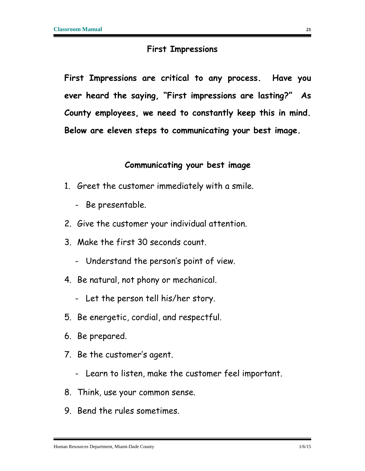#### **First Impressions**

<span id="page-21-0"></span>**First Impressions are critical to any process. Have you ever heard the saying, "First impressions are lasting?" As County employees, we need to constantly keep this in mind. Below are eleven steps to communicating your best image.**

#### **Communicating your best image**

- 1. Greet the customer immediately with a smile.
	- Be presentable.
- 2. Give the customer your individual attention.
- 3. Make the first 30 seconds count.
	- Understand the person's point of view.
- 4. Be natural, not phony or mechanical.
	- Let the person tell his/her story.
- 5. Be energetic, cordial, and respectful.
- 6. Be prepared.
- 7. Be the customer's agent.
	- Learn to listen, make the customer feel important.
- 8. Think, use your common sense.
- 9. Bend the rules sometimes.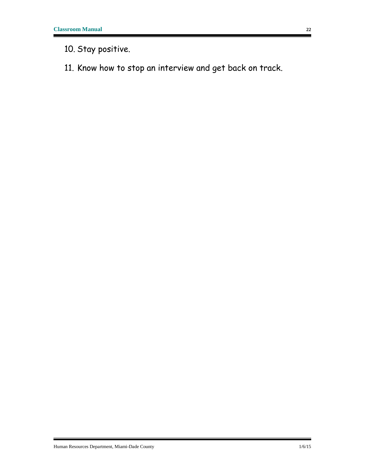10. Stay positive.

11. Know how to stop an interview and get back on track.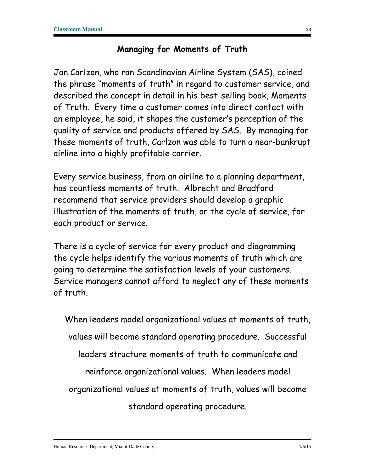#### **Managing for Moments of Truth**

<span id="page-23-0"></span>Jan Carlzon, who ran Scandinavian Airline System (SAS), coined the phrase "moments of truth" in regard to customer service, and described the concept in detail in his best-selling book, Moments of Truth. Every time a customer comes into direct contact with an employee, he said, it shapes the customer's perception of the quality of service and products offered by SAS. By managing for these moments of truth, Carlzon was able to turn a near-bankrupt airline into a highly profitable carrier.

Every service business, from an airline to a planning department, has countless moments of truth. Albrecht and Bradford recommend that service providers should develop a graphic illustration of the moments of truth, or the cycle of service, for each product or service.

There is a cycle of service for every product and diagramming the cycle helps identify the various moments of truth which are going to determine the satisfaction levels of your customers. Service managers cannot afford to neglect any of these moments of truth.

When leaders model organizational values at moments of truth, values will become standard operating procedure. Successful leaders structure moments of truth to communicate and reinforce organizational values. When leaders model organizational values at moments of truth, values will become standard operating procedure.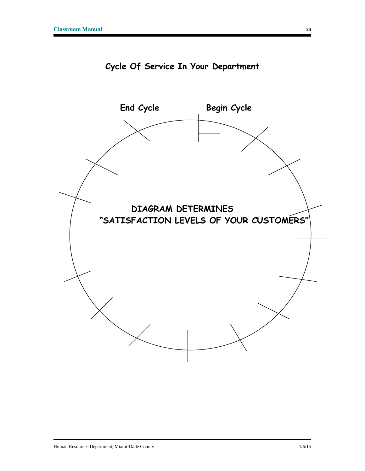<span id="page-24-0"></span>

**Cycle Of Service In Your Department**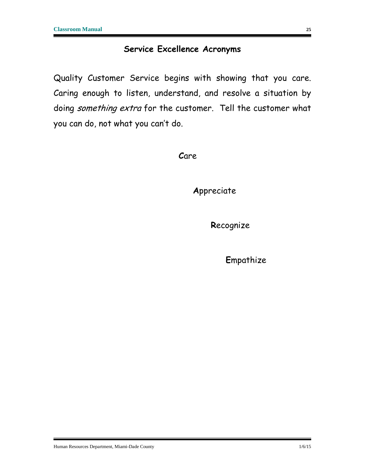#### **Service Excellence Acronyms**

<span id="page-25-0"></span>Quality Customer Service begins with showing that you care. Caring enough to listen, understand, and resolve a situation by doing something extra for the customer. Tell the customer what you can do, not what you can't do.

**C**are

**A**ppreciate

**R**ecognize

**E**mpathize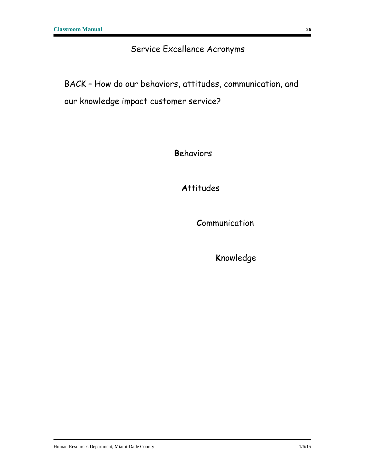#### Service Excellence Acronyms

BACK – How do our behaviors, attitudes, communication, and our knowledge impact customer service?

**B**ehaviors

**A**ttitudes

**C**ommunication

**K**nowledge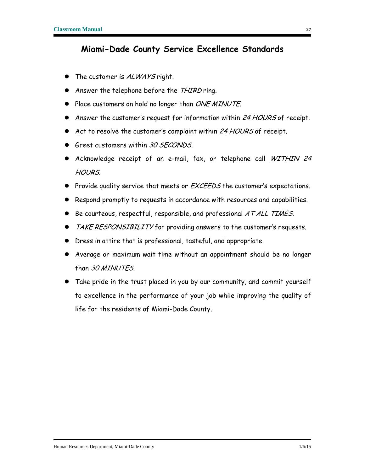#### <span id="page-27-0"></span>**Miami-Dade County Service Excellence Standards**

- The customer is ALWAYS right.
- Answer the telephone before the THIRD ring.
- Place customers on hold no longer than ONE MINUTE.
- Answer the customer's request for information within 24 HOURS of receipt.
- Act to resolve the customer's complaint within 24 HOURS of receipt.
- Greet customers within 30 SECONDS.
- Acknowledge receipt of an e-mail, fax, or telephone call WITHIN 24 HOURS.
- Provide quality service that meets or *EXCEEDS* the customer's expectations.
- Respond promptly to requests in accordance with resources and capabilities.
- $\bullet$  Be courteous, respectful, responsible, and professional AT ALL TIMES.
- TAKE RESPONSIBILITY for providing answers to the customer's requests.
- Dress in attire that is professional, tasteful, and appropriate.
- Average or maximum wait time without an appointment should be no longer than 30 MINUTES.
- Take pride in the trust placed in you by our community, and commit yourself to excellence in the performance of your job while improving the quality of life for the residents of Miami-Dade County.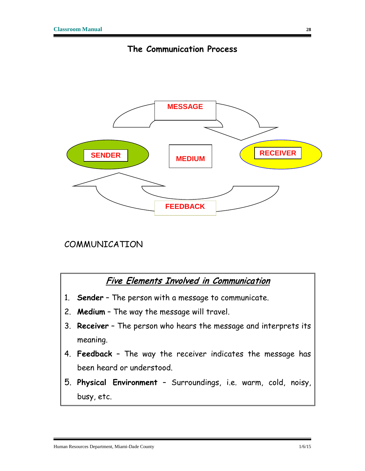

<span id="page-28-0"></span>

#### COMMUNICATION

#### Five Elements Involved in Communication

- 1. **Sender** The person with a message to communicate.
- 2. **Medium** The way the message will travel.
- 3. **Receiver** The person who hears the message and interprets its meaning.
- 4. **Feedback** The way the receiver indicates the message has been heard or understood.
- 5. **Physical Environment** Surroundings, i.e. warm, cold, noisy, busy, etc.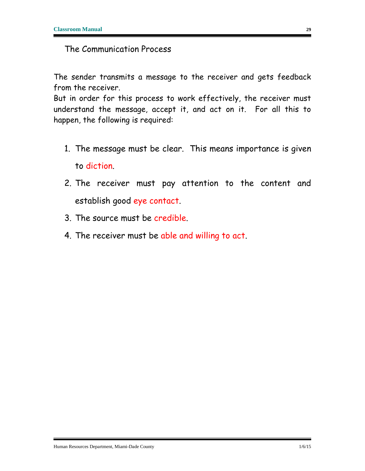#### The Communication Process

The sender transmits a message to the receiver and gets feedback from the receiver.

But in order for this process to work effectively, the receiver must understand the message, accept it, and act on it. For all this to happen, the following is required:

- 1. The message must be clear. This means importance is given to diction.
- 2. The receiver must pay attention to the content and establish good eye contact.
- 3. The source must be credible.
- 4. The receiver must be able and willing to act.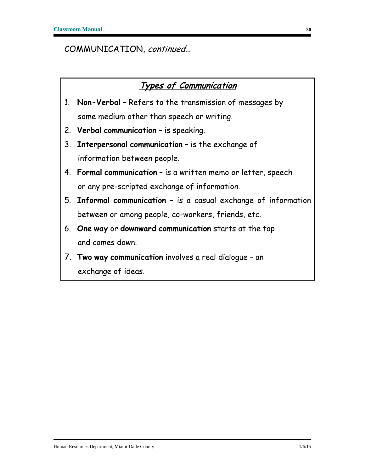#### COMMUNICATION, continued…

#### Types of Communication

- 1. **Non-Verbal** Refers to the transmission of messages by some medium other than speech or writing.
- 2. **Verbal communication** is speaking.
- 3. **Interpersonal communication** is the exchange of information between people.
- 4. **Formal communication** is a written memo or letter, speech or any pre-scripted exchange of information.
- 5. **Informal communication** is a casual exchange of information between or among people, co-workers, friends, etc.
- 6. **One way** or **downward communication** starts at the top and comes down.
- 7. **Two way communication** involves a real dialogue an exchange of ideas.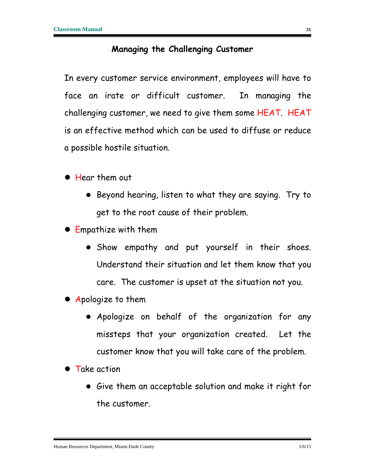#### **Managing the Challenging Customer**

<span id="page-31-0"></span>In every customer service environment, employees will have to face an irate or difficult customer. In managing the challenging customer, we need to give them some HEAT. HEAT is an effective method which can be used to diffuse or reduce a possible hostile situation.

- **Hear them out** 
	- Beyond hearing, listen to what they are saying. Try to get to the root cause of their problem.
- Empathize with them
	- Show empathy and put yourself in their shoes. Understand their situation and let them know that you care. The customer is upset at the situation not you.
- Apologize to them
	- Apologize on behalf of the organization for any missteps that your organization created. Let the customer know that you will take care of the problem.
- **Take action** 
	- Give them an acceptable solution and make it right for the customer.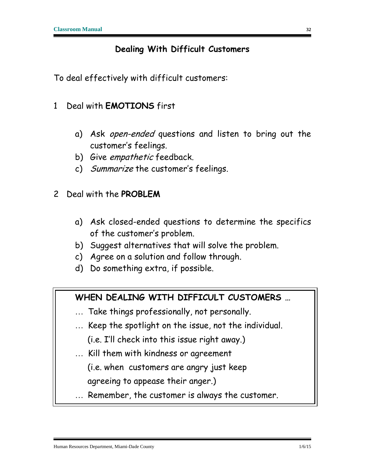#### **Dealing With Difficult Customers**

<span id="page-32-0"></span>To deal effectively with difficult customers:

- 1 Deal with **EMOTIONS** first
	- a) Ask open-ended questions and listen to bring out the customer's feelings.
	- b) Give *empathetic* feedback.
	- c) Summarize the customer's feelings.
- 2 Deal with the **PROBLEM**
	- a) Ask closed-ended questions to determine the specifics of the customer's problem.
	- b) Suggest alternatives that will solve the problem.
	- c) Agree on a solution and follow through.
	- d) Do something extra, if possible.

#### **WHEN DEALING WITH DIFFICULT CUSTOMERS …**

- ... Take things professionally, not personally.
- ... Keep the spotlight on the issue, not the individual. (i.e. I'll check into this issue right away.)
- ... Kill them with kindness or agreement

(i.e. when customers are angry just keep

agreeing to appease their anger.)

Remember, the customer is always the customer.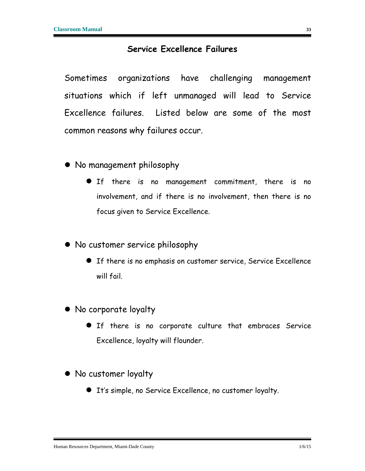#### **Service Excellence Failures**

<span id="page-33-0"></span>Sometimes organizations have challenging management situations which if left unmanaged will lead to Service Excellence failures. Listed below are some of the most common reasons why failures occur.

- No management philosophy
	- **•** If there is no management commitment, there is no involvement, and if there is no involvement, then there is no focus given to Service Excellence.
- No customer service philosophy
	- If there is no emphasis on customer service, Service Excellence will fail.
- No corporate loyalty
	- If there is no corporate culture that embraces Service Excellence, loyalty will flounder.
- No customer loyalty
	- It's simple, no Service Excellence, no customer loyalty.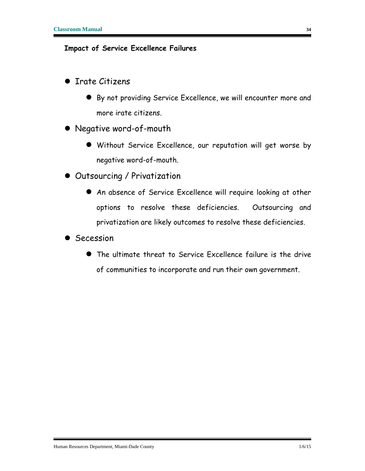#### **Impact of Service Excellence Failures**

- **•** Irate Citizens
	- By not providing Service Excellence, we will encounter more and more irate citizens.
- Negative word-of-mouth
	- Without Service Excellence, our reputation will get worse by negative word-of-mouth.
- **Outsourcing / Privatization** 
	- An absence of Service Excellence will require looking at other options to resolve these deficiencies. Outsourcing and privatization are likely outcomes to resolve these deficiencies.
- **•** Secession
	- The ultimate threat to Service Excellence failure is the drive of communities to incorporate and run their own government.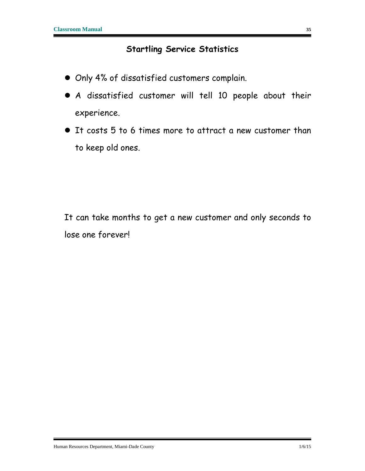#### **Startling Service Statistics**

- <span id="page-35-0"></span>Only 4% of dissatisfied customers complain.
- A dissatisfied customer will tell 10 people about their experience.
- It costs 5 to 6 times more to attract a new customer than to keep old ones.

It can take months to get a new customer and only seconds to lose one forever!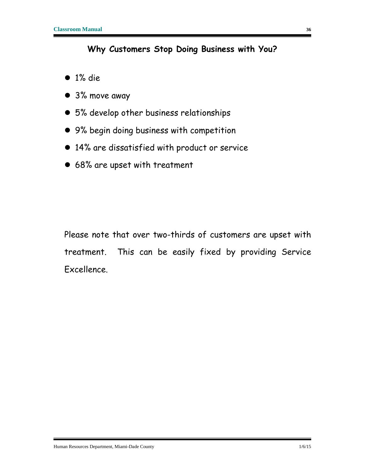#### **Why Customers Stop Doing Business with You?**

- <span id="page-36-0"></span> $\bullet$  1% die
- 3% move away
- 5% develop other business relationships
- 9% begin doing business with competition
- 14% are dissatisfied with product or service
- 68% are upset with treatment

Please note that over two-thirds of customers are upset with treatment. This can be easily fixed by providing Service Excellence.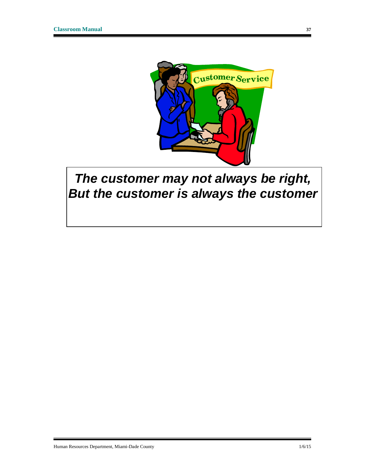

### *The customer may not always be right, But the customer is always the customer*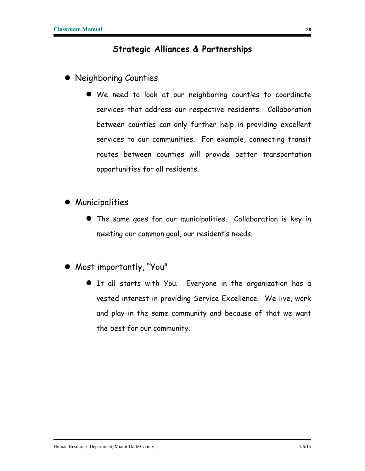#### **Strategic Alliances & Partnerships**

- <span id="page-38-0"></span> Neighboring Counties
	- We need to look at our neighboring counties to coordinate services that address our respective residents. Collaboration between counties can only further help in providing excellent services to our communities. For example, connecting transit routes between counties will provide better transportation opportunities for all residents.
- **•** Municipalities
	- The same goes for our municipalities. Collaboration is key in meeting our common goal, our resident's needs.
- Most importantly, "You"
	- It all starts with You. Everyone in the organization has a vested interest in providing Service Excellence. We live, work and play in the same community and because of that we want the best for our community.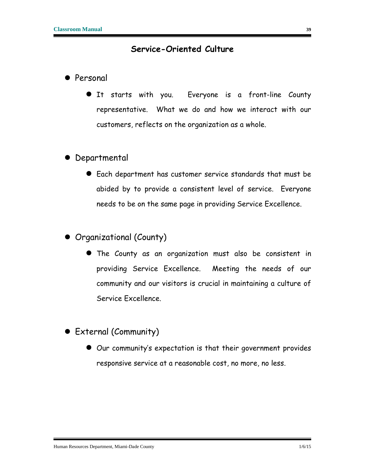#### **Service-Oriented Culture**

- <span id="page-39-0"></span>**•** Personal
	- It starts with you. Everyone is a front-line County representative. What we do and how we interact with our customers, reflects on the organization as a whole.
- Departmental
	- Each department has customer service standards that must be abided by to provide a consistent level of service. Everyone needs to be on the same page in providing Service Excellence.
- Organizational (County)
	- The County as an organization must also be consistent in providing Service Excellence. Meeting the needs of our community and our visitors is crucial in maintaining a culture of Service Excellence.
- External (Community)
	- Our community's expectation is that their government provides responsive service at a reasonable cost, no more, no less.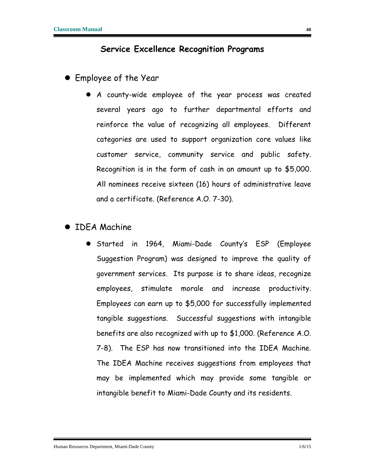#### **Service Excellence Recognition Programs**

- <span id="page-40-0"></span> Employee of the Year
	- A county-wide employee of the year process was created several years ago to further departmental efforts and reinforce the value of recognizing all employees. Different categories are used to support organization core values like customer service, community service and public safety. Recognition is in the form of cash in an amount up to \$5,000. All nominees receive sixteen (16) hours of administrative leave and a certificate. (Reference A.O. 7-30).

#### **• IDEA Machine**

**Started in 1964, Miami-Dade County's ESP (Employee** Suggestion Program) was designed to improve the quality of government services. Its purpose is to share ideas, recognize employees, stimulate morale and increase productivity. Employees can earn up to \$5,000 for successfully implemented tangible suggestions. Successful suggestions with intangible benefits are also recognized with up to \$1,000. (Reference A.O. 7-8). The ESP has now transitioned into the IDEA Machine. The IDEA Machine receives suggestions from employees that may be implemented which may provide some tangible or intangible benefit to Miami-Dade County and its residents.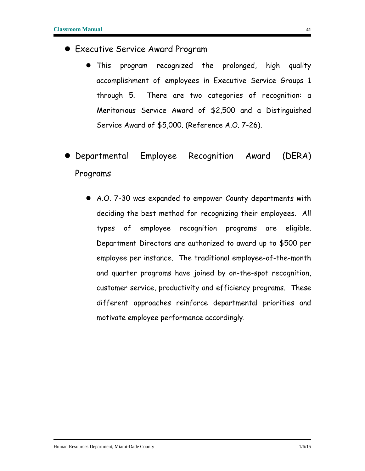- Executive Service Award Program
	- This program recognized the prolonged, high quality accomplishment of employees in Executive Service Groups 1 through 5. There are two categories of recognition: a Meritorious Service Award of \$2,500 and a Distinguished Service Award of \$5,000. (Reference A.O. 7-26).
- Departmental Employee Recognition Award (DERA) Programs
	- A.O. 7-30 was expanded to empower County departments with deciding the best method for recognizing their employees. All types of employee recognition programs are eligible. Department Directors are authorized to award up to \$500 per employee per instance. The traditional employee-of-the-month and quarter programs have joined by on-the-spot recognition, customer service, productivity and efficiency programs. These different approaches reinforce departmental priorities and motivate employee performance accordingly.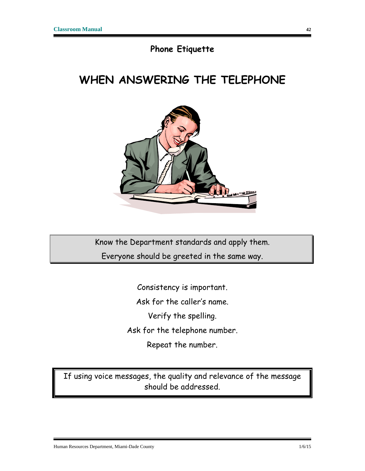#### **Phone Etiquette**

### <span id="page-42-0"></span>**WHEN ANSWERING THE TELEPHONE**



Know the Department standards and apply them. Everyone should be greeted in the same way.

> Consistency is important. Ask for the caller's name. Verify the spelling. Ask for the telephone number. Repeat the number.

If using voice messages, the quality and relevance of the message should be addressed.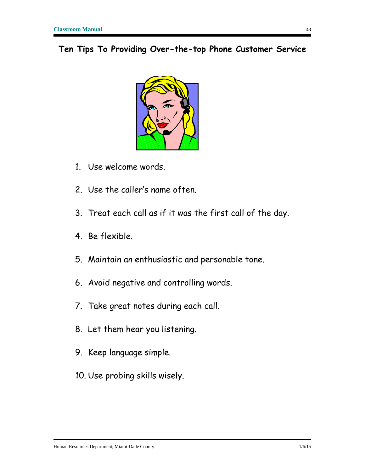<span id="page-43-0"></span>**Ten Tips To Providing Over-the-top Phone Customer Service**



- 1. Use welcome words.
- 2. Use the caller's name often.
- 3. Treat each call as if it was the first call of the day.
- 4. Be flexible.
- 5. Maintain an enthusiastic and personable tone.
- 6. Avoid negative and controlling words.
- 7. Take great notes during each call.
- 8. Let them hear you listening.
- 9. Keep language simple.
- 10. Use probing skills wisely.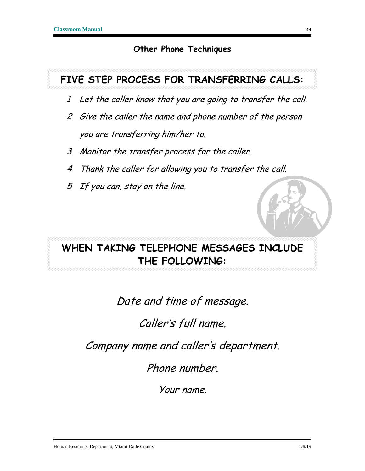#### **Other Phone Techniques**

### <span id="page-44-0"></span>**FIVE STEP PROCESS FOR TRANSFERRING CALLS:**

- 1 Let the caller know that you are going to transfer the call.
- 2 Give the caller the name and phone number of the person you are transferring him/her to.
- 3 Monitor the transfer process for the caller.
- 4 Thank the caller for allowing you to transfer the call.
- 5 If you can, stay on the line.

### **WHEN TAKING TELEPHONE MESSAGES INCLUDE THE FOLLOWING:**

Date and time of message.

### Caller's full name.

Company name and caller's department.

Phone number.

Your name.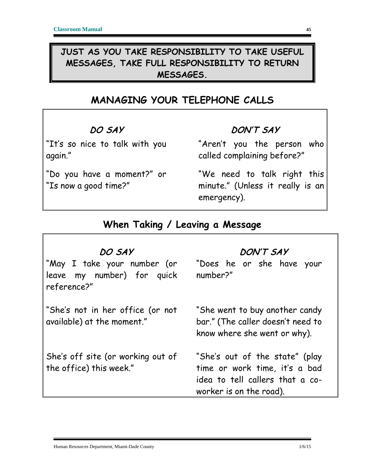#### **JUST AS YOU TAKE RESPONSIBILITY TO TAKE USEFUL MESSAGES, TAKE FULL RESPONSIBILITY TO RETURN MESSAGES.**

### **MANAGING YOUR TELEPHONE CALLS**

#### DO SAY

"It's so nice to talk with you again."

"Do you have a moment?" or "Is now a good time?"

#### DON'T SAY

"Aren't you the person who called complaining before?"

"We need to talk right this minute." (Unless it really is an emergency).

#### **When Taking / Leaving a Message**

#### DO SAY "May I take your number (or leave my number) for quick reference?" "She's not in her office (or not available) at the moment." She's off site (or working out of the office) this week." DON'T SAY "Does he or she have your number?" "She went to buy another candy bar." (The caller doesn't need to know where she went or why). "She's out of the state" (play time or work time, it's a bad idea to tell callers that a coworker is on the road).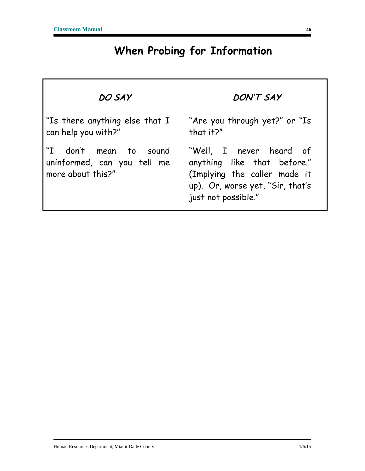## **When Probing for Information**

| DO SAY                                                                     | DON'T SAY                                                                                                                                         |
|----------------------------------------------------------------------------|---------------------------------------------------------------------------------------------------------------------------------------------------|
| "Is there anything else that I<br>can help you with?"                      | "Are you through yet?" or "Is<br>that it?"                                                                                                        |
| "I don't mean to sound<br>uninformed, can you tell me<br>more about this?" | "Well, I never heard of<br>anything like that before."<br>(Implying the caller made it<br>up). Or, worse yet, "Sir, that's<br>just not possible." |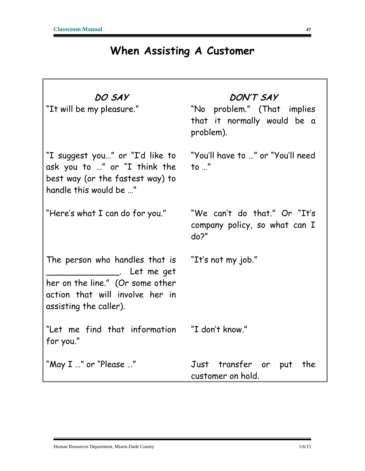### **When Assisting A Customer**

| DO SAY<br>"It will be my pleasure."                                                                                                                                           | DON'T SAY<br>"No problem." (That implies<br>that it normally would be a<br>problem). |
|-------------------------------------------------------------------------------------------------------------------------------------------------------------------------------|--------------------------------------------------------------------------------------|
| "I suggest you" or "I'd like to<br>ask you to " or "I think the<br>best way (or the fastest way) to<br>handle this would be "                                                 | "You'll have to " or "You'll need<br>to $\mathbf{r}$                                 |
| "Here's what I can do for you."                                                                                                                                               | "We can't do that." Or "It's<br>company policy, so what can I<br>do?"                |
| The person who handles that is "It's not my job."<br>___________. Let me get<br>her on the line." (Or some other<br>action that will involve her in<br>assisting the caller). |                                                                                      |
| "Let me find that information "I don't know."<br>for you."                                                                                                                    |                                                                                      |
| "May I " or "Please "                                                                                                                                                         | Just transfer or put<br>the<br>customer on hold.                                     |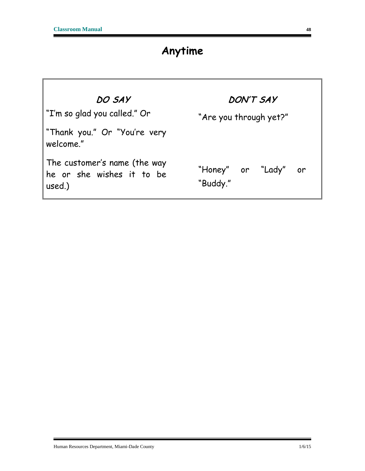٦

### **Anytime**

| DO SAY<br>T'm so glad you called." Or "                             | DON'T SAY<br>"Are you through yet?" |
|---------------------------------------------------------------------|-------------------------------------|
| "Thank you." Or "You're very<br>welcome."                           |                                     |
| The customer's name (the way<br>he or she wishes it to be<br>used.) | "Honey" or "Lady" or<br>"Buddy."    |

É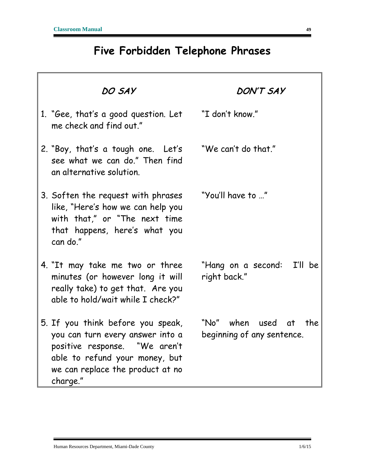### **Five Forbidden Telephone Phrases**

| DO SAY                                                                                                                                                                                   | <b>DON'T SAY</b>                                       |
|------------------------------------------------------------------------------------------------------------------------------------------------------------------------------------------|--------------------------------------------------------|
| 1. "Gee, that's a good question. Let<br>me check and find out."                                                                                                                          | "I don't know."                                        |
| 2. "Boy, that's a tough one. Let's<br>see what we can do." Then find<br>an alternative solution.                                                                                         | "We can't do that."                                    |
| 3. Soften the request with phrases<br>like, "Here's how we can help you<br>with that," or "The next time<br>that happens, here's what you<br>can do."                                    | "You'll have to "                                      |
| 4. "It may take me two or three<br>minutes (or however long it will<br>really take) to get that. Are you<br>able to hold/wait while I check?"                                            | "Hang on a second: I'll be<br>right back."             |
| 5. If you think before you speak,<br>you can turn every answer into a<br>positive response. "We aren't<br>able to refund your money, but<br>we can replace the product at no<br>charge." | "No" when used at<br>the<br>beginning of any sentence. |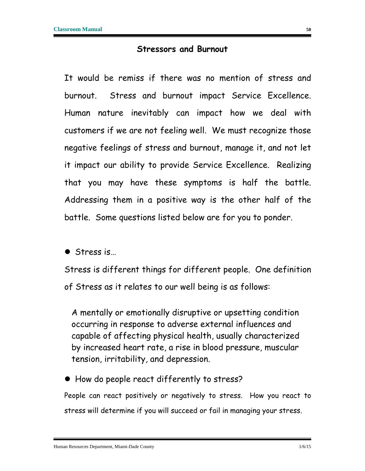#### **Stressors and Burnout**

<span id="page-50-0"></span>It would be remiss if there was no mention of stress and burnout. Stress and burnout impact Service Excellence. Human nature inevitably can impact how we deal with customers if we are not feeling well. We must recognize those negative feelings of stress and burnout, manage it, and not let it impact our ability to provide Service Excellence. Realizing that you may have these symptoms is half the battle. Addressing them in a positive way is the other half of the battle. Some questions listed below are for you to ponder.

● Stress is...

Stress is different things for different people. One definition of Stress as it relates to our well being is as follows:

A mentally or emotionally disruptive or upsetting condition occurring in response to adverse external influences and capable of affecting physical health, usually characterized by increased heart rate, a rise in blood pressure, muscular tension, irritability, and depression.

• How do people react differently to stress?

People can react positively or negatively to stress. How you react to stress will determine if you will succeed or fail in managing your stress.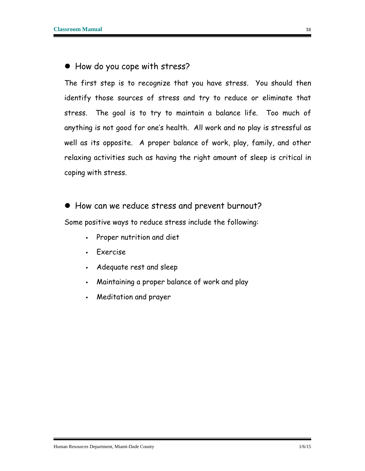#### How do you cope with stress?

The first step is to recognize that you have stress. You should then identify those sources of stress and try to reduce or eliminate that stress. The goal is to try to maintain a balance life. Too much of anything is not good for one's health. All work and no play is stressful as well as its opposite. A proper balance of work, play, family, and other relaxing activities such as having the right amount of sleep is critical in coping with stress.

• How can we reduce stress and prevent burnout?

Some positive ways to reduce stress include the following:

- Proper nutrition and diet
- Exercise
- Adequate rest and sleep
- Maintaining a proper balance of work and play
- Meditation and prayer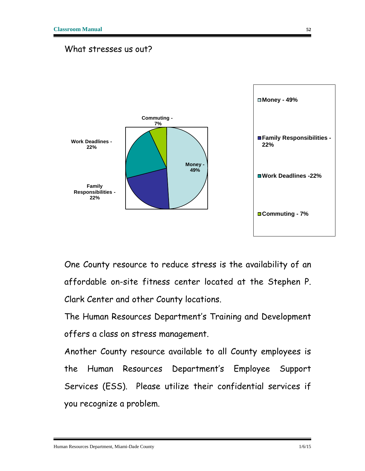#### What stresses us out?



One County resource to reduce stress is the availability of an affordable on-site fitness center located at the Stephen P. Clark Center and other County locations.

The Human Resources Department's Training and Development offers a class on stress management.

Another County resource available to all County employees is the Human Resources Department's Employee Support Services (ESS). Please utilize their confidential services if you recognize a problem.